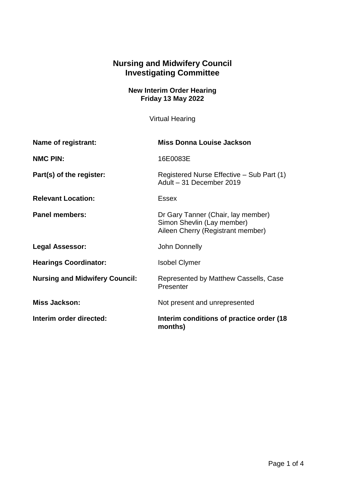## **Nursing and Midwifery Council Investigating Committee**

**New Interim Order Hearing Friday 13 May 2022**

Virtual Hearing

| Name of registrant:                   | <b>Miss Donna Louise Jackson</b>                                                                      |
|---------------------------------------|-------------------------------------------------------------------------------------------------------|
| <b>NMC PIN:</b>                       | 16E0083E                                                                                              |
| Part(s) of the register:              | Registered Nurse Effective – Sub Part (1)<br>Adult - 31 December 2019                                 |
| <b>Relevant Location:</b>             | <b>Essex</b>                                                                                          |
| <b>Panel members:</b>                 | Dr Gary Tanner (Chair, lay member)<br>Simon Shevlin (Lay member)<br>Aileen Cherry (Registrant member) |
| <b>Legal Assessor:</b>                | John Donnelly                                                                                         |
| <b>Hearings Coordinator:</b>          | <b>Isobel Clymer</b>                                                                                  |
| <b>Nursing and Midwifery Council:</b> | Represented by Matthew Cassells, Case<br>Presenter                                                    |
| <b>Miss Jackson:</b>                  | Not present and unrepresented                                                                         |
| Interim order directed:               | Interim conditions of practice order (18<br>months)                                                   |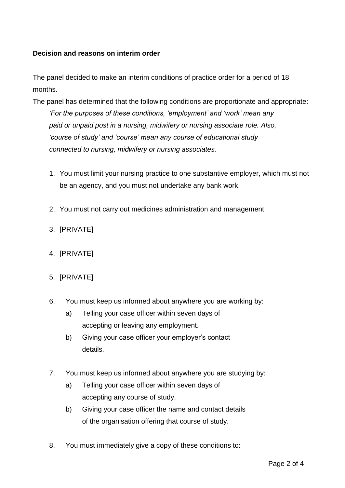## **Decision and reasons on interim order**

The panel decided to make an interim conditions of practice order for a period of 18 months.

- The panel has determined that the following conditions are proportionate and appropriate: *'For the purposes of these conditions, 'employment' and 'work' mean any paid or unpaid post in a nursing, midwifery or nursing associate role. Also, 'course of study' and 'course' mean any course of educational study connected to nursing, midwifery or nursing associates.*
	- 1. You must limit your nursing practice to one substantive employer, which must not be an agency, and you must not undertake any bank work.
	- 2. You must not carry out medicines administration and management.
	- 3. [PRIVATE]
	- 4. [PRIVATE]
	- 5. [PRIVATE]
	- 6. You must keep us informed about anywhere you are working by:
		- a) Telling your case officer within seven days of accepting or leaving any employment.
		- b) Giving your case officer your employer's contact details.
	- 7. You must keep us informed about anywhere you are studying by:
		- a) Telling your case officer within seven days of accepting any course of study.
		- b) Giving your case officer the name and contact details of the organisation offering that course of study.
	- 8. You must immediately give a copy of these conditions to: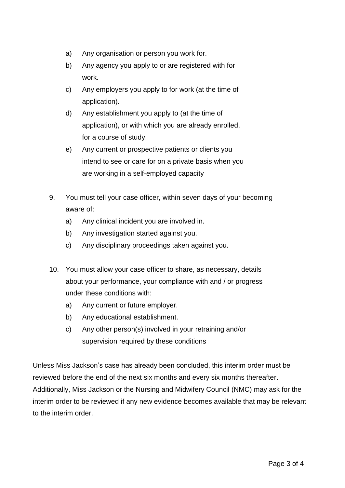- a) Any organisation or person you work for.
- b) Any agency you apply to or are registered with for work.
- c) Any employers you apply to for work (at the time of application).
- d) Any establishment you apply to (at the time of application), or with which you are already enrolled, for a course of study.
- e) Any current or prospective patients or clients you intend to see or care for on a private basis when you are working in a self-employed capacity
- 9. You must tell your case officer, within seven days of your becoming aware of:
	- a) Any clinical incident you are involved in.
	- b) Any investigation started against you.
	- c) Any disciplinary proceedings taken against you.
- 10. You must allow your case officer to share, as necessary, details about your performance, your compliance with and / or progress under these conditions with:
	- a) Any current or future employer.
	- b) Any educational establishment.
	- c) Any other person(s) involved in your retraining and/or supervision required by these conditions

Unless Miss Jackson's case has already been concluded, this interim order must be reviewed before the end of the next six months and every six months thereafter. Additionally, Miss Jackson or the Nursing and Midwifery Council (NMC) may ask for the interim order to be reviewed if any new evidence becomes available that may be relevant to the interim order.